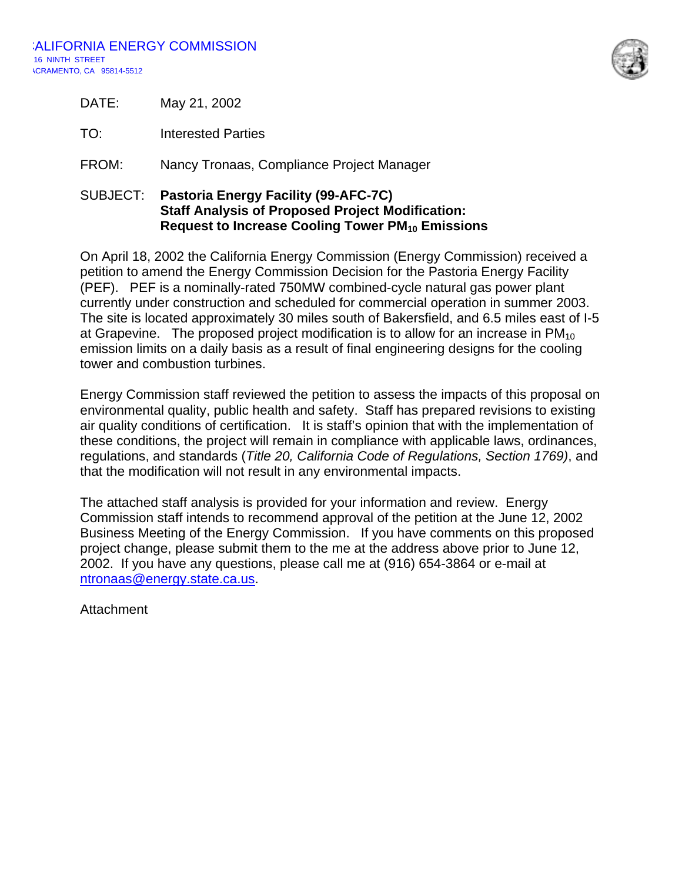

| DATE: | May 21, 2002 |
|-------|--------------|
|       |              |

TO: Interested Parties

FROM: Nancy Tronaas, Compliance Project Manager

### SUBJECT: **Pastoria Energy Facility (99-AFC-7C) Staff Analysis of Proposed Project Modification: Request to Increase Cooling Tower PM<sub>10</sub> Emissions**

On April 18, 2002 the California Energy Commission (Energy Commission) received a petition to amend the Energy Commission Decision for the Pastoria Energy Facility (PEF). PEF is a nominally-rated 750MW combined-cycle natural gas power plant currently under construction and scheduled for commercial operation in summer 2003. The site is located approximately 30 miles south of Bakersfield, and 6.5 miles east of I-5 at Grapevine. The proposed project modification is to allow for an increase in  $PM_{10}$ emission limits on a daily basis as a result of final engineering designs for the cooling tower and combustion turbines.

Energy Commission staff reviewed the petition to assess the impacts of this proposal on environmental quality, public health and safety. Staff has prepared revisions to existing air quality conditions of certification. It is staff's opinion that with the implementation of these conditions, the project will remain in compliance with applicable laws, ordinances, regulations, and standards (*Title 20, California Code of Regulations, Section 1769)*, and that the modification will not result in any environmental impacts.

The attached staff analysis is provided for your information and review. Energy Commission staff intends to recommend approval of the petition at the June 12, 2002 Business Meeting of the Energy Commission. If you have comments on this proposed project change, please submit them to the me at the address above prior to June 12, 2002. If you have any questions, please call me at (916) 654-3864 or e-mail at ntronaas@energy.state.ca.us.

Attachment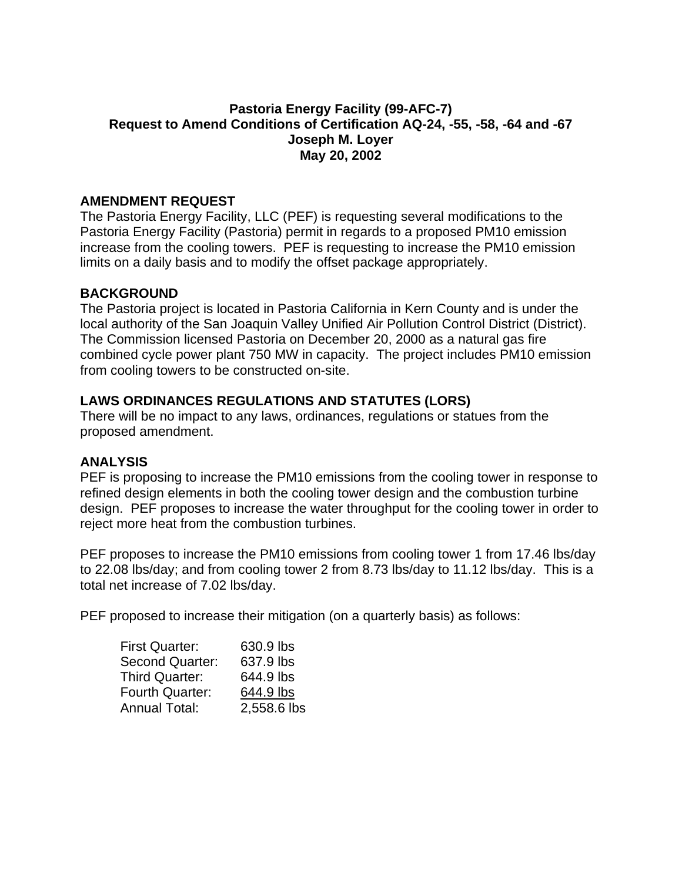# **Pastoria Energy Facility (99-AFC-7) Request to Amend Conditions of Certification AQ-24, -55, -58, -64 and -67 Joseph M. Loyer May 20, 2002**

### **AMENDMENT REQUEST**

The Pastoria Energy Facility, LLC (PEF) is requesting several modifications to the Pastoria Energy Facility (Pastoria) permit in regards to a proposed PM10 emission increase from the cooling towers. PEF is requesting to increase the PM10 emission limits on a daily basis and to modify the offset package appropriately.

### **BACKGROUND**

The Pastoria project is located in Pastoria California in Kern County and is under the local authority of the San Joaquin Valley Unified Air Pollution Control District (District). The Commission licensed Pastoria on December 20, 2000 as a natural gas fire combined cycle power plant 750 MW in capacity. The project includes PM10 emission from cooling towers to be constructed on-site.

## **LAWS ORDINANCES REGULATIONS AND STATUTES (LORS)**

There will be no impact to any laws, ordinances, regulations or statues from the proposed amendment.

#### **ANALYSIS**

PEF is proposing to increase the PM10 emissions from the cooling tower in response to refined design elements in both the cooling tower design and the combustion turbine design. PEF proposes to increase the water throughput for the cooling tower in order to reject more heat from the combustion turbines.

PEF proposes to increase the PM10 emissions from cooling tower 1 from 17.46 lbs/day to 22.08 lbs/day; and from cooling tower 2 from 8.73 lbs/day to 11.12 lbs/day. This is a total net increase of 7.02 lbs/day.

PEF proposed to increase their mitigation (on a quarterly basis) as follows:

| <b>First Quarter:</b>  | 630.9 lbs   |
|------------------------|-------------|
| <b>Second Quarter:</b> | 637.9 lbs   |
| <b>Third Quarter:</b>  | 644.9 lbs   |
| <b>Fourth Quarter:</b> | 644.9 lbs   |
| <b>Annual Total:</b>   | 2,558.6 lbs |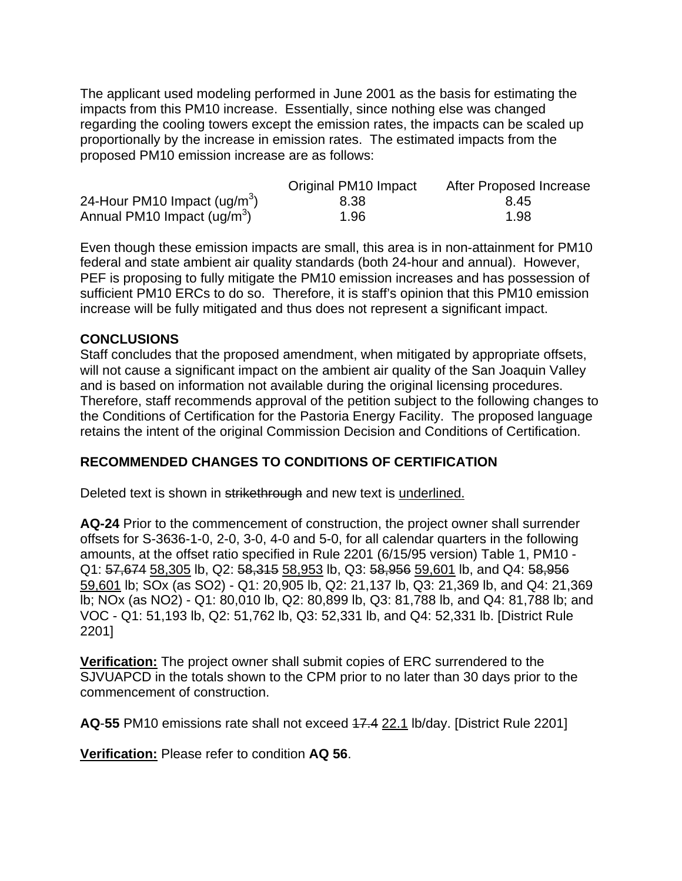The applicant used modeling performed in June 2001 as the basis for estimating the impacts from this PM10 increase. Essentially, since nothing else was changed regarding the cooling towers except the emission rates, the impacts can be scaled up proportionally by the increase in emission rates. The estimated impacts from the proposed PM10 emission increase are as follows:

|                               | Original PM10 Impact | After Proposed Increase |
|-------------------------------|----------------------|-------------------------|
| 24-Hour PM10 Impact $(ug/m3)$ | 8.38                 | 8.45                    |
| Annual PM10 Impact $(ug/m3)$  | 1.96                 | 1.98                    |

Even though these emission impacts are small, this area is in non-attainment for PM10 federal and state ambient air quality standards (both 24-hour and annual). However, PEF is proposing to fully mitigate the PM10 emission increases and has possession of sufficient PM10 ERCs to do so. Therefore, it is staff's opinion that this PM10 emission increase will be fully mitigated and thus does not represent a significant impact.

## **CONCLUSIONS**

Staff concludes that the proposed amendment, when mitigated by appropriate offsets, will not cause a significant impact on the ambient air quality of the San Joaquin Valley and is based on information not available during the original licensing procedures. Therefore, staff recommends approval of the petition subject to the following changes to the Conditions of Certification for the Pastoria Energy Facility. The proposed language retains the intent of the original Commission Decision and Conditions of Certification.

## **RECOMMENDED CHANGES TO CONDITIONS OF CERTIFICATION**

Deleted text is shown in strikethrough and new text is underlined.

**AQ-24** Prior to the commencement of construction, the project owner shall surrender offsets for S-3636-1-0, 2-0, 3-0, 4-0 and 5-0, for all calendar quarters in the following amounts, at the offset ratio specified in Rule 2201 (6/15/95 version) Table 1, PM10 - Q1: 57,674 58,305 lb, Q2: 58,315 58,953 lb, Q3: 58,956 59,601 lb, and Q4: 58,956 59,601 lb; SOx (as SO2) - Q1: 20,905 lb, Q2: 21,137 lb, Q3: 21,369 lb, and Q4: 21,369 lb; NOx (as NO2) - Q1: 80,010 lb, Q2: 80,899 lb, Q3: 81,788 lb, and Q4: 81,788 lb; and VOC - Q1: 51,193 lb, Q2: 51,762 lb, Q3: 52,331 lb, and Q4: 52,331 lb. [District Rule 2201]

**Verification:** The project owner shall submit copies of ERC surrendered to the SJVUAPCD in the totals shown to the CPM prior to no later than 30 days prior to the commencement of construction.

**AQ**-**55** PM10 emissions rate shall not exceed 17.4 22.1 lb/day. [District Rule 2201]

**Verification:** Please refer to condition **AQ 56**.